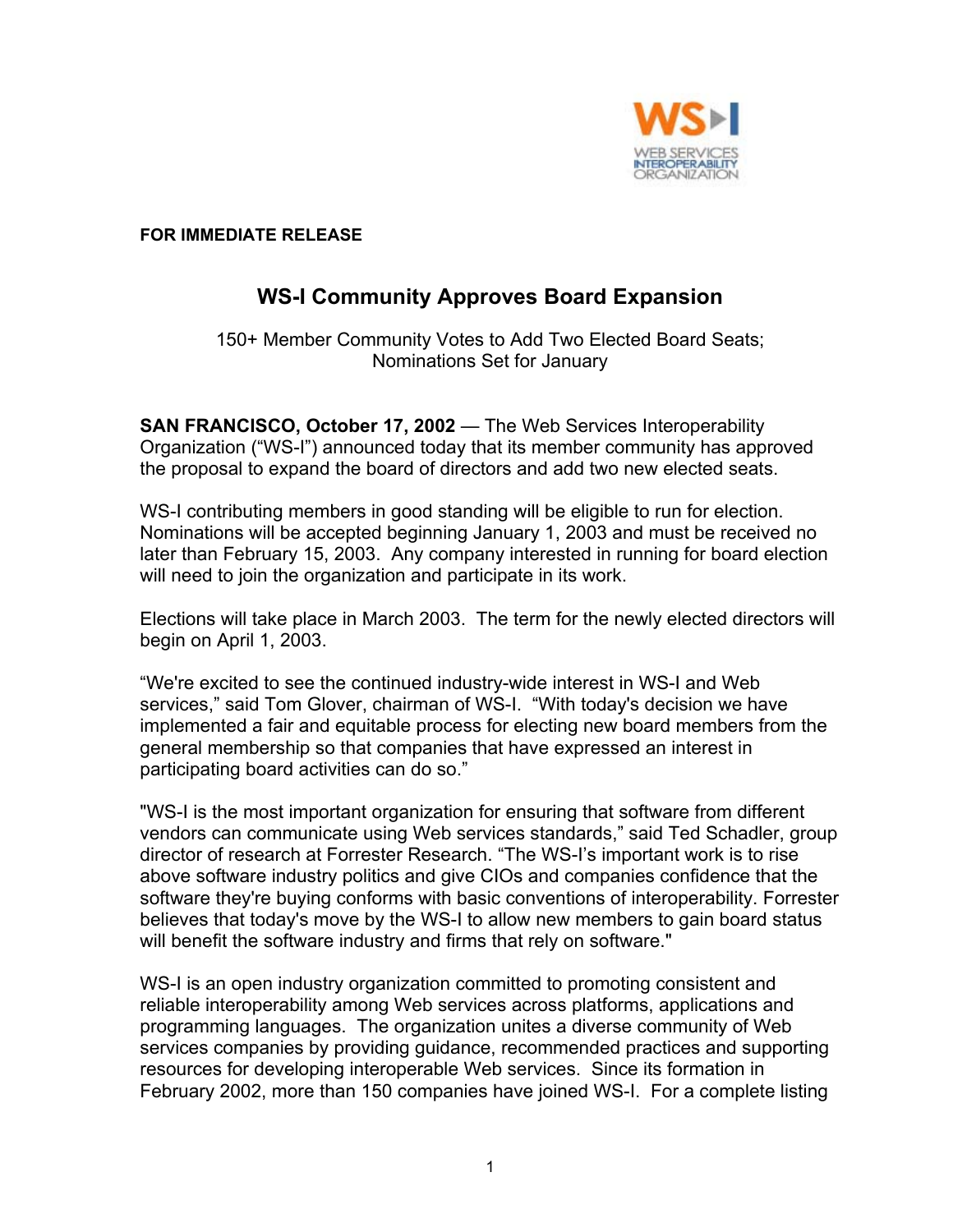

 **FOR IMMEDIATE RELEASE** 

## **WS-I Community Approves Board Expansion**

150+ Member Community Votes to Add Two Elected Board Seats; Nominations Set for January

**SAN FRANCISCO, October 17, 2002** — The Web Services Interoperability Organization ("WS-I") announced today that its member community has approved the proposal to expand the board of directors and add two new elected seats.

WS-I contributing members in good standing will be eligible to run for election. Nominations will be accepted beginning January 1, 2003 and must be received no later than February 15, 2003. Any company interested in running for board election will need to join the organization and participate in its work.

Elections will take place in March 2003. The term for the newly elected directors will begin on April 1, 2003.

"We're excited to see the continued industry-wide interest in WS-I and Web services," said Tom Glover, chairman of WS-I. "With today's decision we have implemented a fair and equitable process for electing new board members from the general membership so that companies that have expressed an interest in participating board activities can do so."

"WS-I is the most important organization for ensuring that software from different vendors can communicate using Web services standards," said Ted Schadler, group director of research at Forrester Research. "The WS-I's important work is to rise above software industry politics and give CIOs and companies confidence that the software they're buying conforms with basic conventions of interoperability. Forrester believes that today's move by the WS-I to allow new members to gain board status will benefit the software industry and firms that rely on software."

WS-I is an open industry organization committed to promoting consistent and reliable interoperability among Web services across platforms, applications and programming languages. The organization unites a diverse community of Web services companies by providing guidance, recommended practices and supporting resources for developing interoperable Web services. Since its formation in February 2002, more than 150 companies have joined WS-I. For a complete listing